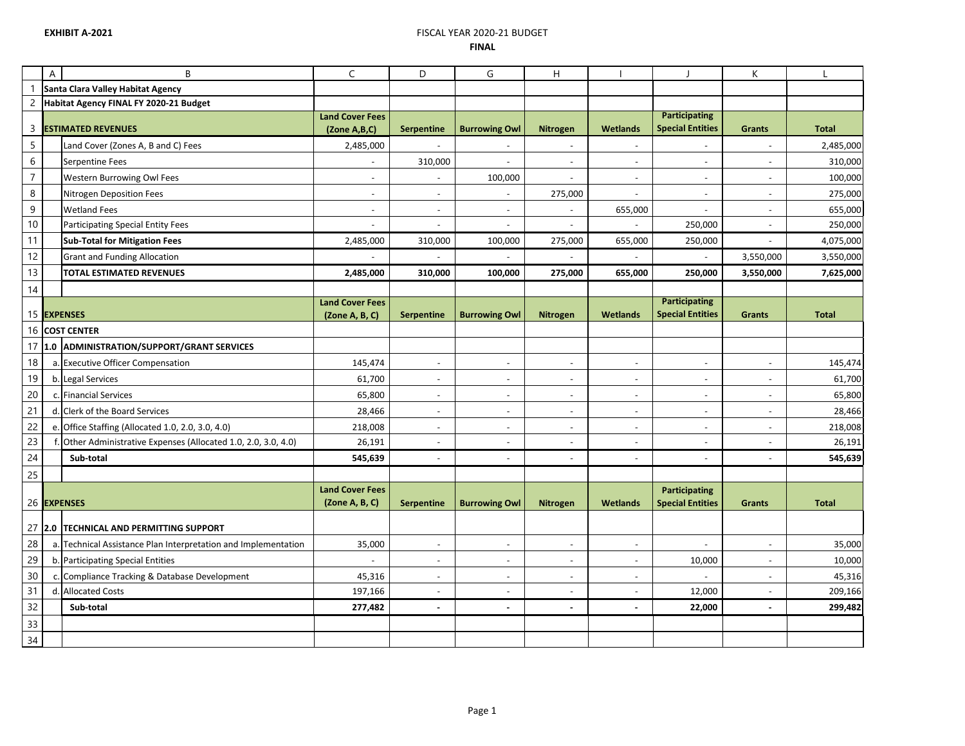## **EXHIBIT A-2021 EXHIBIT A-2021 EXHIBIT A-2020 FINAL**

|                | A | B                                                              | $\mathsf{C}$                             | D                        | G                        | H                        |                              |                                                 | K                        |              |
|----------------|---|----------------------------------------------------------------|------------------------------------------|--------------------------|--------------------------|--------------------------|------------------------------|-------------------------------------------------|--------------------------|--------------|
|                |   | Santa Clara Valley Habitat Agency                              |                                          |                          |                          |                          |                              |                                                 |                          |              |
| $\overline{c}$ |   | Habitat Agency FINAL FY 2020-21 Budget                         |                                          |                          |                          |                          |                              |                                                 |                          |              |
| 3              |   | <b>ESTIMATED REVENUES</b>                                      | <b>Land Cover Fees</b><br>(Zone A,B,C)   | <b>Serpentine</b>        | <b>Burrowing Owl</b>     | <b>Nitrogen</b>          | <b>Wetlands</b>              | <b>Participating</b><br><b>Special Entities</b> | <b>Grants</b>            | <b>Total</b> |
| 5              |   | Land Cover (Zones A, B and C) Fees                             | 2,485,000                                |                          |                          | $\overline{\phantom{a}}$ | $\qquad \qquad \blacksquare$ |                                                 | $\overline{\phantom{a}}$ | 2,485,000    |
| 6              |   | <b>Serpentine Fees</b>                                         |                                          | 310,000                  |                          | $\overline{\phantom{a}}$ | $\overline{\phantom{a}}$     |                                                 | $\overline{\phantom{a}}$ | 310,000      |
| $\overline{7}$ |   | Western Burrowing Owl Fees                                     | $\overline{\phantom{a}}$                 |                          | 100,000                  | $\blacksquare$           | $\overline{\phantom{a}}$     |                                                 | $\overline{\phantom{a}}$ | 100,000      |
| 8              |   | Nitrogen Deposition Fees                                       | $\overline{\phantom{a}}$                 | $\overline{\phantom{a}}$ | $\sim$                   | 275,000                  | $\overline{\phantom{a}}$     | $\overline{\phantom{a}}$                        | $\overline{\phantom{a}}$ | 275,000      |
| 9              |   | <b>Wetland Fees</b>                                            | $\overline{\phantom{a}}$                 | $\blacksquare$           | $\overline{\phantom{a}}$ | $\overline{\phantom{a}}$ | 655,000                      |                                                 | $\overline{\phantom{a}}$ | 655,000      |
| $10\,$         |   | Participating Special Entity Fees                              |                                          |                          |                          | $\blacksquare$           |                              | 250,000                                         | $\overline{\phantom{a}}$ | 250,000      |
| 11             |   | <b>Sub-Total for Mitigation Fees</b>                           | 2,485,000                                | 310,000                  | 100,000                  | 275,000                  | 655,000                      | 250,000                                         | $\overline{\phantom{a}}$ | 4,075,000    |
| 12             |   | <b>Grant and Funding Allocation</b>                            |                                          |                          |                          |                          |                              |                                                 | 3,550,000                | 3,550,000    |
| 13             |   | <b>TOTAL ESTIMATED REVENUES</b>                                | 2,485,000                                | 310,000                  | 100,000                  | 275,000                  | 655,000                      | 250,000                                         | 3,550,000                | 7,625,000    |
| 14             |   |                                                                |                                          |                          |                          |                          |                              |                                                 |                          |              |
|                |   |                                                                | <b>Land Cover Fees</b>                   |                          |                          |                          |                              | <b>Participating</b>                            |                          |              |
|                |   | 15 EXPENSES                                                    | (Zone A, B, C)                           | <b>Serpentine</b>        | <b>Burrowing Owl</b>     | <b>Nitrogen</b>          | <b>Wetlands</b>              | <b>Special Entities</b>                         | <b>Grants</b>            | <b>Total</b> |
|                |   | 16 COST CENTER                                                 |                                          |                          |                          |                          |                              |                                                 |                          |              |
| 17             |   | 1.0 ADMINISTRATION/SUPPORT/GRANT SERVICES                      |                                          |                          |                          |                          |                              |                                                 |                          |              |
| 18             |   | a. Executive Officer Compensation                              | 145,474                                  | $\overline{\phantom{a}}$ | $\overline{\phantom{a}}$ | $\overline{\phantom{a}}$ | $\overline{\phantom{a}}$     |                                                 | $\overline{\phantom{a}}$ | 145,474      |
| 19             |   | b. Legal Services                                              | 61,700                                   | $\overline{\phantom{a}}$ |                          | $\overline{\phantom{a}}$ | $\overline{\phantom{a}}$     |                                                 | $\overline{\phantom{a}}$ | 61,700       |
| $20\,$         |   | c. Financial Services                                          | 65,800                                   | $\overline{\phantom{a}}$ |                          | $\overline{\phantom{a}}$ | $\overline{\phantom{a}}$     |                                                 | $\overline{\phantom{a}}$ | 65,800       |
| 21             |   | d. Clerk of the Board Services                                 | 28,466                                   | $\blacksquare$           | $\overline{\phantom{a}}$ | $\overline{\phantom{a}}$ | $\overline{\phantom{a}}$     |                                                 | $\overline{\phantom{0}}$ | 28,466       |
| 22             |   | e. Office Staffing (Allocated 1.0, 2.0, 3.0, 4.0)              | 218,008                                  | $\overline{\phantom{a}}$ | $\sim$                   | $\overline{\phantom{a}}$ | $\overline{\phantom{a}}$     |                                                 | $\overline{\phantom{a}}$ | 218,008      |
| 23             |   | Other Administrative Expenses (Allocated 1.0, 2.0, 3.0, 4.0)   | 26,191                                   | $\overline{\phantom{a}}$ | $\overline{\phantom{a}}$ | $\overline{\phantom{a}}$ | $\overline{\phantom{a}}$     | $\overline{\phantom{a}}$                        | $\overline{\phantom{a}}$ | 26,191       |
| 24             |   | Sub-total                                                      | 545,639                                  |                          |                          | $\overline{\phantom{m}}$ | $\overline{\phantom{a}}$     |                                                 | $\overline{\phantom{a}}$ | 545,639      |
| 25             |   |                                                                |                                          |                          |                          |                          |                              |                                                 |                          |              |
|                |   |                                                                | <b>Land Cover Fees</b><br>(Zone A, B, C) |                          |                          |                          |                              | Participating                                   |                          |              |
|                |   | 26 EXPENSES                                                    |                                          | <b>Serpentine</b>        | <b>Burrowing Owl</b>     | <b>Nitrogen</b>          | <b>Wetlands</b>              | <b>Special Entities</b>                         | <b>Grants</b>            | <b>Total</b> |
|                |   | 27 2.0 TECHNICAL AND PERMITTING SUPPORT                        |                                          |                          |                          |                          |                              |                                                 |                          |              |
| 28             |   | a. Technical Assistance Plan Interpretation and Implementation | 35,000                                   | $\overline{\phantom{a}}$ | $\sim$                   | $\overline{\phantom{a}}$ | $\overline{\phantom{a}}$     |                                                 | $\overline{\phantom{a}}$ | 35,000       |
| 29             |   | b. Participating Special Entities                              |                                          | $\overline{\phantom{a}}$ |                          | $\overline{\phantom{a}}$ | $\overline{\phantom{a}}$     | 10,000                                          | $\overline{\phantom{a}}$ | 10,000       |
| 30             |   | c. Compliance Tracking & Database Development                  | 45,316                                   | $\overline{\phantom{a}}$ | $\overline{\phantom{a}}$ | $\overline{\phantom{a}}$ | $\overline{\phantom{a}}$     |                                                 | $\overline{\phantom{a}}$ | 45,316       |
| 31             |   | d. Allocated Costs                                             | 197,166                                  | $\overline{\phantom{a}}$ | $\sim$                   | $\overline{\phantom{a}}$ | $\overline{\phantom{a}}$     | 12,000                                          | $\sim$                   | 209,166      |
| 32             |   | Sub-total                                                      | 277,482                                  | $\blacksquare$           | $\blacksquare$           | $\blacksquare$           | $\blacksquare$               | 22,000                                          | $\blacksquare$           | 299,482      |
| 33             |   |                                                                |                                          |                          |                          |                          |                              |                                                 |                          |              |
| 34             |   |                                                                |                                          |                          |                          |                          |                              |                                                 |                          |              |